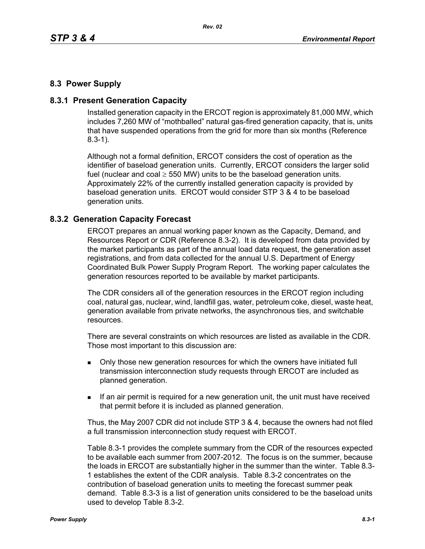## **8.3 Power Supply**

### **8.3.1 Present Generation Capacity**

Installed generation capacity in the ERCOT region is approximately 81,000 MW, which includes 7,260 MW of "mothballed" natural gas-fired generation capacity, that is, units that have suspended operations from the grid for more than six months (Reference 8.3-1).

Although not a formal definition, ERCOT considers the cost of operation as the identifier of baseload generation units. Currently, ERCOT considers the larger solid fuel (nuclear and coal  $\geq$  550 MW) units to be the baseload generation units. Approximately 22% of the currently installed generation capacity is provided by baseload generation units. ERCOT would consider STP 3 & 4 to be baseload generation units.

#### **8.3.2 Generation Capacity Forecast**

ERCOT prepares an annual working paper known as the Capacity, Demand, and Resources Report or CDR (Reference 8.3-2). It is developed from data provided by the market participants as part of the annual load data request, the generation asset registrations, and from data collected for the annual U.S. Department of Energy Coordinated Bulk Power Supply Program Report. The working paper calculates the generation resources reported to be available by market participants.

The CDR considers all of the generation resources in the ERCOT region including coal, natural gas, nuclear, wind, landfill gas, water, petroleum coke, diesel, waste heat, generation available from private networks, the asynchronous ties, and switchable resources.

There are several constraints on which resources are listed as available in the CDR. Those most important to this discussion are:

- **Drankler in Solvet** over a only those new generation resources for which the owners have initiated full transmission interconnection study requests through ERCOT are included as planned generation.
- If an air permit is required for a new generation unit, the unit must have received that permit before it is included as planned generation.

Thus, the May 2007 CDR did not include STP 3 & 4, because the owners had not filed a full transmission interconnection study request with ERCOT.

Table 8.3-1 provides the complete summary from the CDR of the resources expected to be available each summer from 2007-2012. The focus is on the summer, because the loads in ERCOT are substantially higher in the summer than the winter. Table 8.3- 1 establishes the extent of the CDR analysis. Table 8.3-2 concentrates on the contribution of baseload generation units to meeting the forecast summer peak demand. Table 8.3-3 is a list of generation units considered to be the baseload units used to develop Table 8.3-2.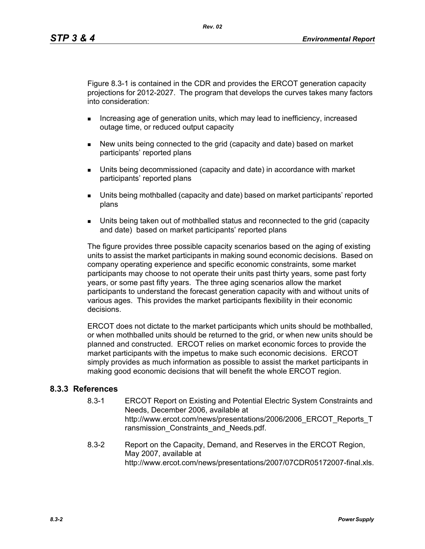Figure 8.3-1 is contained in the CDR and provides the ERCOT generation capacity projections for 2012-2027. The program that develops the curves takes many factors into consideration:

- **Increasing age of generation units, which may lead to inefficiency, increased** outage time, or reduced output capacity
- New units being connected to the grid (capacity and date) based on market participants' reported plans
- Units being decommissioned (capacity and date) in accordance with market participants' reported plans
- Units being mothballed (capacity and date) based on market participants' reported plans
- Units being taken out of mothballed status and reconnected to the grid (capacity and date) based on market participants' reported plans

The figure provides three possible capacity scenarios based on the aging of existing units to assist the market participants in making sound economic decisions. Based on company operating experience and specific economic constraints, some market participants may choose to not operate their units past thirty years, some past forty years, or some past fifty years. The three aging scenarios allow the market participants to understand the forecast generation capacity with and without units of various ages. This provides the market participants flexibility in their economic decisions.

ERCOT does not dictate to the market participants which units should be mothballed, or when mothballed units should be returned to the grid, or when new units should be planned and constructed. ERCOT relies on market economic forces to provide the market participants with the impetus to make such economic decisions. ERCOT simply provides as much information as possible to assist the market participants in making good economic decisions that will benefit the whole ERCOT region.

### **8.3.3 References**

- 8.3-1 ERCOT Report on Existing and Potential Electric System Constraints and Needs, December 2006, available at http://www.ercot.com/news/presentations/2006/2006\_ERCOT\_Reports\_T ransmission Constraints and Needs.pdf.
- 8.3-2 Report on the Capacity, Demand, and Reserves in the ERCOT Region, May 2007, available at http://www.ercot.com/news/presentations/2007/07CDR05172007-final.xls.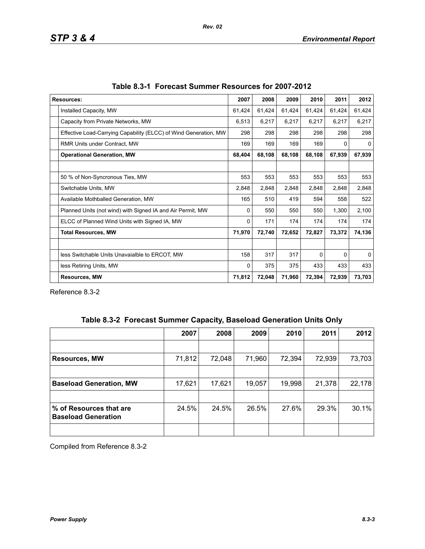| <b>Resources:</b>                                                | 2007   | 2008   | 2009   | 2010     | 2011   | 2012     |
|------------------------------------------------------------------|--------|--------|--------|----------|--------|----------|
| Installed Capacity, MW                                           | 61,424 | 61,424 | 61,424 | 61,424   | 61,424 | 61,424   |
| Capacity from Private Networks, MW                               | 6,513  | 6,217  | 6,217  | 6,217    | 6,217  | 6,217    |
| Effective Load-Carrying Capability (ELCC) of Wind Generation, MW | 298    | 298    | 298    | 298      | 298    | 298      |
| RMR Units under Contract, MW                                     | 169    | 169    | 169    | 169      | 0      | 0        |
| <b>Operational Generation, MW</b>                                |        | 68,108 | 68,108 | 68,108   | 67,939 | 67,939   |
|                                                                  |        |        |        |          |        |          |
| 50 % of Non-Syncronous Ties, MW                                  | 553    | 553    | 553    | 553      | 553    | 553      |
| Switchable Units, MW                                             | 2,848  | 2,848  | 2,848  | 2,848    | 2,848  | 2,848    |
| Available Mothballed Generation, MW                              | 165    | 510    | 419    | 594      | 558    | 522      |
| Planned Units (not wind) with Signed IA and Air Permit, MW       | 0      | 550    | 550    | 550      | 1,300  | 2,100    |
| ELCC of Planned Wind Units with Signed IA, MW                    | 0      | 171    | 174    | 174      | 174    | 174      |
| <b>Total Resources, MW</b>                                       | 71,970 | 72,740 | 72,652 | 72,827   | 73,372 | 74,136   |
|                                                                  |        |        |        |          |        |          |
| less Switchable Units Unavaialble to ERCOT, MW                   | 158    | 317    | 317    | $\Omega$ | 0      | $\Omega$ |
| less Retiring Units, MW                                          | 0      | 375    | 375    | 433      | 433    | 433      |
| <b>Resources, MW</b>                                             |        | 72,048 | 71,960 | 72,394   | 72,939 | 73,703   |

Reference 8.3-2

|  | Table 8.3-2 Forecast Summer Capacity, Baseload Generation Units Only |  |  |  |  |
|--|----------------------------------------------------------------------|--|--|--|--|
|--|----------------------------------------------------------------------|--|--|--|--|

|                                                       | 2007   | 2008   | 2009   | 2010   | 2011   | 2012   |
|-------------------------------------------------------|--------|--------|--------|--------|--------|--------|
|                                                       |        |        |        |        |        |        |
| <b>Resources, MW</b>                                  | 71,812 | 72,048 | 71,960 | 72,394 | 72,939 | 73,703 |
|                                                       |        |        |        |        |        |        |
| <b>Baseload Generation, MW</b>                        | 17,621 | 17,621 | 19,057 | 19,998 | 21,378 | 22,178 |
|                                                       |        |        |        |        |        |        |
| % of Resources that are<br><b>Baseload Generation</b> | 24.5%  | 24.5%  | 26.5%  | 27.6%  | 29.3%  | 30.1%  |
|                                                       |        |        |        |        |        |        |

Compiled from Reference 8.3-2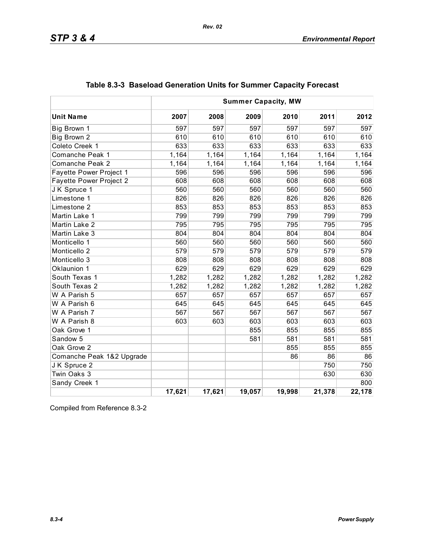|                           | <b>Summer Capacity, MW</b> |        |        |        |        |        |
|---------------------------|----------------------------|--------|--------|--------|--------|--------|
| <b>Unit Name</b>          | 2007                       | 2008   | 2009   | 2010   | 2011   | 2012   |
| Big Brown 1               | 597                        | 597    | 597    | 597    | 597    | 597    |
| Big Brown 2               | 610                        | 610    | 610    | 610    | 610    | 610    |
| Coleto Creek 1            | 633                        | 633    | 633    | 633    | 633    | 633    |
| Comanche Peak 1           | 1,164                      | 1,164  | 1,164  | 1,164  | 1,164  | 1,164  |
| Comanche Peak 2           | 1,164                      | 1,164  | 1,164  | 1,164  | 1,164  | 1,164  |
| Fayette Power Project 1   | 596                        | 596    | 596    | 596    | 596    | 596    |
| Fayette Power Project 2   | 608                        | 608    | 608    | 608    | 608    | 608    |
| JK Spruce 1               | 560                        | 560    | 560    | 560    | 560    | 560    |
| Limestone 1               | 826                        | 826    | 826    | 826    | 826    | 826    |
| Limestone 2               | 853                        | 853    | 853    | 853    | 853    | 853    |
| Martin Lake 1             | 799                        | 799    | 799    | 799    | 799    | 799    |
| Martin Lake 2             | 795                        | 795    | 795    | 795    | 795    | 795    |
| Martin Lake 3             | 804                        | 804    | 804    | 804    | 804    | 804    |
| Monticello 1              | 560                        | 560    | 560    | 560    | 560    | 560    |
| Monticello <sub>2</sub>   | 579                        | 579    | 579    | 579    | 579    | 579    |
| Monticello 3              | 808                        | 808    | 808    | 808    | 808    | 808    |
| Oklaunion 1               | 629                        | 629    | 629    | 629    | 629    | 629    |
| South Texas 1             | 1,282                      | 1,282  | 1,282  | 1,282  | 1,282  | 1,282  |
| South Texas 2             | 1,282                      | 1,282  | 1,282  | 1,282  | 1,282  | 1,282  |
| W A Parish 5              | 657                        | 657    | 657    | 657    | 657    | 657    |
| W A Parish 6              | 645                        | 645    | 645    | 645    | 645    | 645    |
| W A Parish 7              | 567                        | 567    | 567    | 567    | 567    | 567    |
| W A Parish 8              | 603                        | 603    | 603    | 603    | 603    | 603    |
| Oak Grove 1               |                            |        | 855    | 855    | 855    | 855    |
| Sandow <sub>5</sub>       |                            |        | 581    | 581    | 581    | 581    |
| Oak Grove 2               |                            |        |        | 855    | 855    | 855    |
| Comanche Peak 1&2 Upgrade |                            |        |        | 86     | 86     | 86     |
| JK Spruce 2               |                            |        |        |        | 750    | 750    |
| Twin Oaks 3               |                            |        |        |        | 630    | 630    |
| Sandy Creek 1             |                            |        |        |        |        | 800    |
|                           | 17,621                     | 17,621 | 19,057 | 19,998 | 21,378 | 22,178 |

# **Table 8.3-3 Baseload Generation Units for Summer Capacity Forecast**

*Rev. 02*

Compiled from Reference 8.3-2